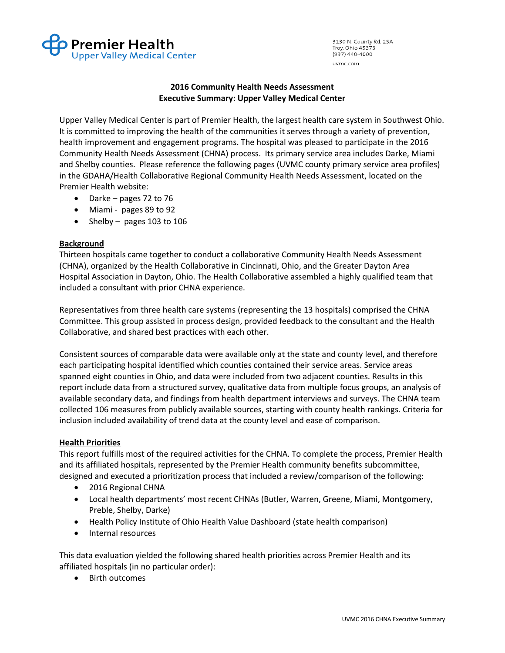

3130 N. County Rd. 25A Troy, Ohio 45373  $(937)$  440-4000 uvmc.com

## 2016 Community Health Needs Assessment Executive Summary: Upper Valley Medical Center

Upper Valley Medical Center is part of Premier Health, the largest health care system in Southwest Ohio. It is committed to improving the health of the communities it serves through a variety of prevention, health improvement and engagement programs. The hospital was pleased to participate in the 2016 Community Health Needs Assessment (CHNA) process. Its primary service area includes Darke, Miami and Shelby counties. Please reference the following pages (UVMC county primary service area profiles) in the GDAHA/Health Collaborative Regional Community Health Needs Assessment, located on the Premier Health website:

- Darke pages 72 to 76
- Miami pages 89 to 92
- Shelby pages 103 to 106

## Background

Thirteen hospitals came together to conduct a collaborative Community Health Needs Assessment (CHNA), organized by the Health Collaborative in Cincinnati, Ohio, and the Greater Dayton Area Hospital Association in Dayton, Ohio. The Health Collaborative assembled a highly qualified team that included a consultant with prior CHNA experience.

Representatives from three health care systems (representing the 13 hospitals) comprised the CHNA Committee. This group assisted in process design, provided feedback to the consultant and the Health Collaborative, and shared best practices with each other.

Consistent sources of comparable data were available only at the state and county level, and therefore each participating hospital identified which counties contained their service areas. Service areas spanned eight counties in Ohio, and data were included from two adjacent counties. Results in this report include data from a structured survey, qualitative data from multiple focus groups, an analysis of available secondary data, and findings from health department interviews and surveys. The CHNA team collected 106 measures from publicly available sources, starting with county health rankings. Criteria for inclusion included availability of trend data at the county level and ease of comparison.

## Health Priorities

This report fulfills most of the required activities for the CHNA. To complete the process, Premier Health and its affiliated hospitals, represented by the Premier Health community benefits subcommittee, designed and executed a prioritization process that included a review/comparison of the following:

- 2016 Regional CHNA
- Local health departments' most recent CHNAs (Butler, Warren, Greene, Miami, Montgomery, Preble, Shelby, Darke)
- Health Policy Institute of Ohio Health Value Dashboard (state health comparison)
- Internal resources

This data evaluation yielded the following shared health priorities across Premier Health and its affiliated hospitals (in no particular order):

• Birth outcomes